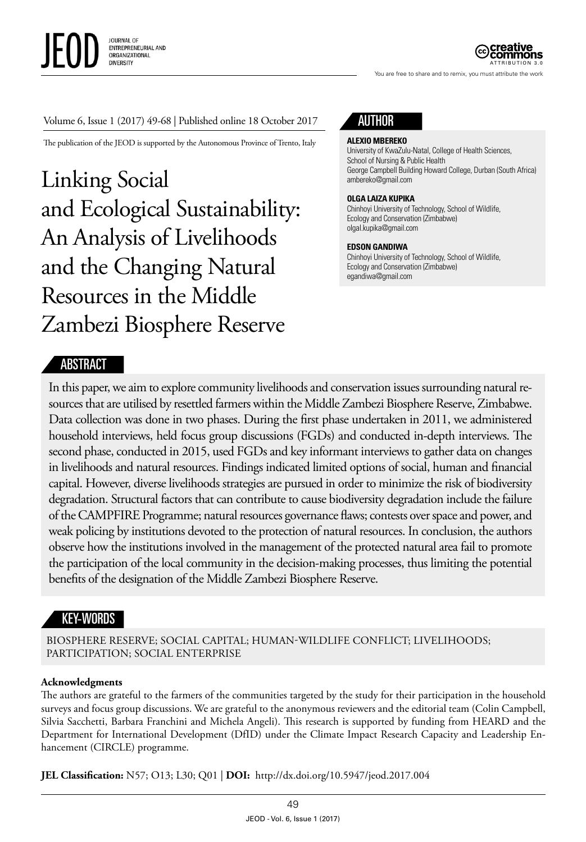

ATTRIBUTION 3.0

You are free to share and to remix, you must attribute the work

#### Volume 6, Issue 1 (2017) 49-68 | Published online 18 October 2017

The publication of the JEOD is supported by the Autonomous Province of Trento, Italy

Linking Social and Ecological Sustainability: An Analysis of Livelihoods and the Changing Natural Resources in the Middle Zambezi Biosphere Reserve



#### **ALEXIO MBEREKO**

University of KwaZulu-Natal, College of Health Sciences, School of Nursing & Public Health George Campbell Building Howard College, Durban (South Africa) ambereko@gmail.com

#### **OLGA LAIZA KUPIKA**

Chinhoyi University of Technology, School of Wildlife, Ecology and Conservation (Zimbabwe) [olgal.kupika@gmail.com](mailto:olgal.kupika@gmail.com)

#### **EDSON GANDIWA**

Chinhoyi University of Technology, School of Wildlife, Ecology and Conservation (Zimbabwe) [egandiwa@gmail.com](mailto:egandiwa@gmail.com)

#### ABSTRACT

In this paper, we aim to explore community livelihoods and conservation issues surrounding natural resources that are utilised by resettled farmers within the Middle Zambezi Biosphere Reserve, Zimbabwe. Data collection was done in two phases. During the first phase undertaken in 2011, we administered household interviews, held focus group discussions (FGDs) and conducted in-depth interviews. The second phase, conducted in 2015, used FGDs and key informant interviews to gather data on changes in livelihoods and natural resources. Findings indicated limited options of social, human and financial capital. However, diverse livelihoods strategies are pursued in order to minimize the risk of biodiversity degradation. Structural factors that can contribute to cause biodiversity degradation include the failure of the CAMPFIRE Programme; natural resources governance flaws; contests over space and power, and weak policing by institutions devoted to the protection of natural resources. In conclusion, the authors observe how the institutions involved in the management of the protected natural area fail to promote the participation of the local community in the decision-making processes, thus limiting the potential benefits of the designation of the Middle Zambezi Biosphere Reserve.

## KEY-WORDS

BIOSPHERE RESERVE; SOCIAL CAPITAL; HUMAN-WILDLIFE CONFLICT; LIVELIHOODS; PARTICIPATION; SOCIAL ENTERPRISE

#### **Acknowledgments**

The authors are grateful to the farmers of the communities targeted by the study for their participation in the household surveys and focus group discussions. We are grateful to the anonymous reviewers and the editorial team (Colin Campbell, Silvia Sacchetti, Barbara Franchini and Michela Angeli). This research is supported by funding from HEARD and the Department for International Development (DfID) under the Climate Impact Research Capacity and Leadership Enhancement (CIRCLE) programme.

**JEL Classification:** N57; O13; L30; Q01 | **DOI:** <http://dx.doi.org/10.5947/jeod.2017.004>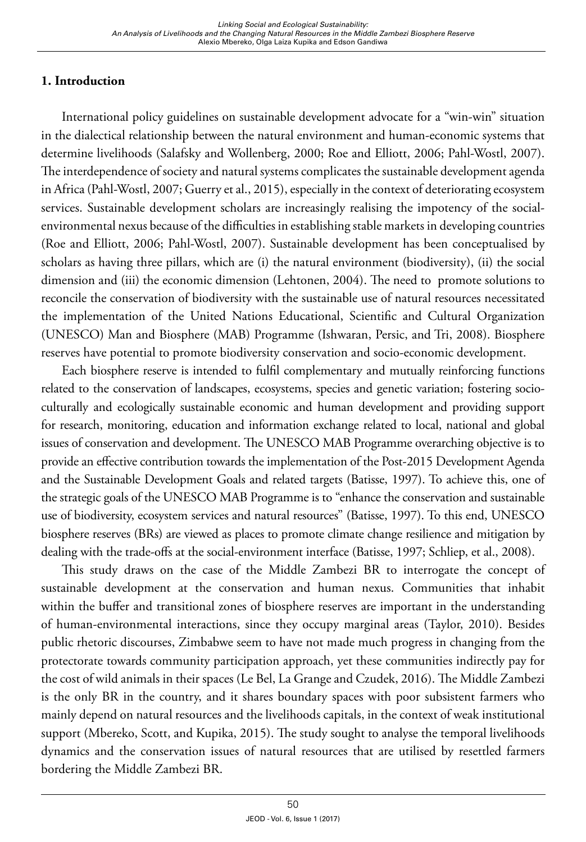# **1. Introduction**

International policy guidelines on sustainable development advocate for a "win-win" situation in the dialectical relationship between the natural environment and human-economic systems that determine livelihoods (Salafsky and Wollenberg, 2000; Roe and Elliott, 2006; Pahl-Wostl, 2007). The interdependence of society and natural systems complicates the sustainable development agenda in Africa (Pahl-Wostl, 2007; Guerry et al., 2015), especially in the context of deteriorating ecosystem services. Sustainable development scholars are increasingly realising the impotency of the socialenvironmental nexus because of the difficulties in establishing stable markets in developing countries (Roe and Elliott, 2006; Pahl-Wostl, 2007). Sustainable development has been conceptualised by scholars as having three pillars, which are (i) the natural environment (biodiversity), (ii) the social dimension and (iii) the economic dimension (Lehtonen, 2004). The need to promote solutions to reconcile the conservation of biodiversity with the sustainable use of natural resources necessitated the implementation of the United Nations Educational, Scientific and Cultural Organization (UNESCO) Man and Biosphere (MAB) Programme (Ishwaran, Persic, and Tri, 2008). Biosphere reserves have potential to promote biodiversity conservation and socio-economic development.

Each biosphere reserve is intended to fulfil complementary and mutually reinforcing functions related to the conservation of landscapes, ecosystems, species and genetic variation; fostering socioculturally and ecologically sustainable economic and human development and providing support for research, monitoring, education and information exchange related to local, national and global issues of conservation and development. The UNESCO MAB Programme overarching objective is to provide an effective contribution towards the implementation of the Post-2015 Development Agenda and the Sustainable Development Goals and related targets (Batisse, 1997). To achieve this, one of the strategic goals of the UNESCO MAB Programme is to "enhance the conservation and sustainable use of biodiversity, ecosystem services and natural resources" (Batisse, 1997). To this end, UNESCO biosphere reserves (BRs) are viewed as places to promote climate change resilience and mitigation by dealing with the trade-offs at the social-environment interface (Batisse, 1997; Schliep, et al., 2008).

This study draws on the case of the Middle Zambezi BR to interrogate the concept of sustainable development at the conservation and human nexus. Communities that inhabit within the buffer and transitional zones of biosphere reserves are important in the understanding of human-environmental interactions, since they occupy marginal areas (Taylor, 2010). Besides public rhetoric discourses, Zimbabwe seem to have not made much progress in changing from the protectorate towards community participation approach, yet these communities indirectly pay for the cost of wild animals in their spaces (Le Bel, La Grange and Czudek, 2016). The Middle Zambezi is the only BR in the country, and it shares boundary spaces with poor subsistent farmers who mainly depend on natural resources and the livelihoods capitals, in the context of weak institutional support (Mbereko, Scott, and Kupika, 2015). The study sought to analyse the temporal livelihoods dynamics and the conservation issues of natural resources that are utilised by resettled farmers bordering the Middle Zambezi BR.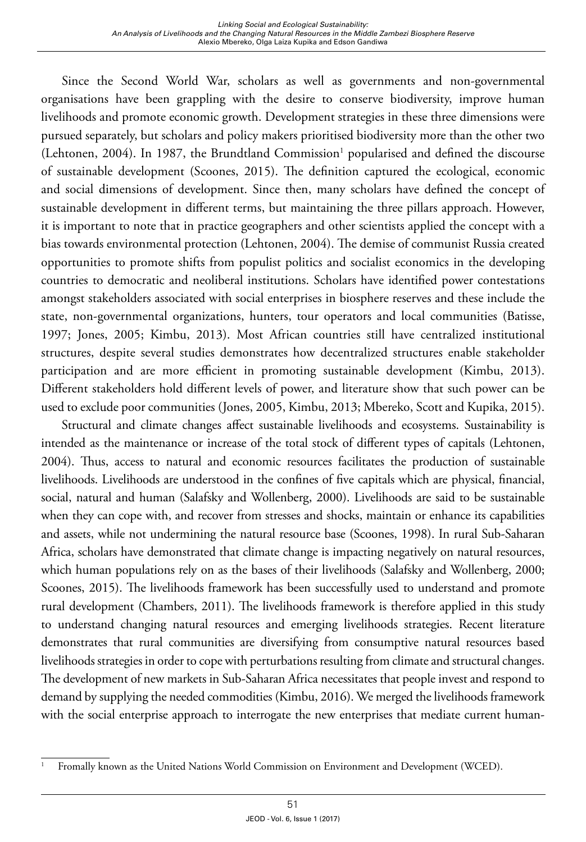Since the Second World War, scholars as well as governments and non-governmental organisations have been grappling with the desire to conserve biodiversity, improve human livelihoods and promote economic growth. Development strategies in these three dimensions were pursued separately, but scholars and policy makers prioritised biodiversity more than the other two  $(Lehtonen, 2004)$ . In 1987, the Brundtland Commission<sup>1</sup> popularised and defined the discourse of sustainable development (Scoones, 2015). The definition captured the ecological, economic and social dimensions of development. Since then, many scholars have defined the concept of sustainable development in different terms, but maintaining the three pillars approach. However, it is important to note that in practice geographers and other scientists applied the concept with a bias towards environmental protection (Lehtonen, 2004). The demise of communist Russia created opportunities to promote shifts from populist politics and socialist economics in the developing countries to democratic and neoliberal institutions. Scholars have identified power contestations amongst stakeholders associated with social enterprises in biosphere reserves and these include the state, non-governmental organizations, hunters, tour operators and local communities (Batisse, 1997; Jones, 2005; Kimbu, 2013). Most African countries still have centralized institutional structures, despite several studies demonstrates how decentralized structures enable stakeholder participation and are more efficient in promoting sustainable development (Kimbu, 2013). Different stakeholders hold different levels of power, and literature show that such power can be used to exclude poor communities (Jones, 2005, Kimbu, 2013; Mbereko, Scott and Kupika, 2015).

Structural and climate changes affect sustainable livelihoods and ecosystems. Sustainability is intended as the maintenance or increase of the total stock of different types of capitals (Lehtonen, 2004). Thus, access to natural and economic resources facilitates the production of sustainable livelihoods. Livelihoods are understood in the confines of five capitals which are physical, financial, social, natural and human (Salafsky and Wollenberg, 2000). Livelihoods are said to be sustainable when they can cope with, and recover from stresses and shocks, maintain or enhance its capabilities and assets, while not undermining the natural resource base (Scoones, 1998). In rural Sub-Saharan Africa, scholars have demonstrated that climate change is impacting negatively on natural resources, which human populations rely on as the bases of their livelihoods (Salafsky and Wollenberg, 2000; Scoones, 2015). The livelihoods framework has been successfully used to understand and promote rural development (Chambers, 2011). The livelihoods framework is therefore applied in this study to understand changing natural resources and emerging livelihoods strategies. Recent literature demonstrates that rural communities are diversifying from consumptive natural resources based livelihoods strategies in order to cope with perturbations resulting from climate and structural changes. The development of new markets in Sub-Saharan Africa necessitates that people invest and respond to demand by supplying the needed commodities (Kimbu, 2016). We merged the livelihoods framework with the social enterprise approach to interrogate the new enterprises that mediate current human-

<sup>1</sup> Fromally known as the United Nations World Commission on Environment and Development (WCED).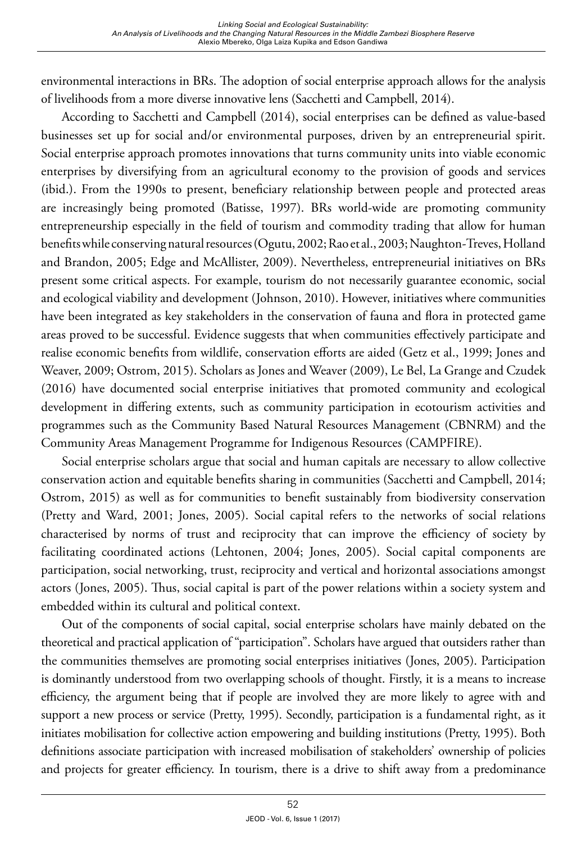environmental interactions in BRs. The adoption of social enterprise approach allows for the analysis of livelihoods from a more diverse innovative lens (Sacchetti and Campbell, 2014).

According to Sacchetti and Campbell (2014), social enterprises can be defined as value-based businesses set up for social and/or environmental purposes, driven by an entrepreneurial spirit. Social enterprise approach promotes innovations that turns community units into viable economic enterprises by diversifying from an agricultural economy to the provision of goods and services (ibid.). From the 1990s to present, beneficiary relationship between people and protected areas are increasingly being promoted (Batisse, 1997). BRs world-wide are promoting community entrepreneurship especially in the field of tourism and commodity trading that allow for human benefits while conserving natural resources (Ogutu, 2002; Rao et al., 2003; Naughton-Treves, Holland and Brandon, 2005; Edge and McAllister, 2009). Nevertheless, entrepreneurial initiatives on BRs present some critical aspects. For example, tourism do not necessarily guarantee economic, social and ecological viability and development (Johnson, 2010). However, initiatives where communities have been integrated as key stakeholders in the conservation of fauna and flora in protected game areas proved to be successful. Evidence suggests that when communities effectively participate and realise economic benefits from wildlife, conservation efforts are aided (Getz et al., 1999; Jones and Weaver, 2009; Ostrom, 2015). Scholars as Jones and Weaver (2009), Le Bel, La Grange and Czudek (2016) have documented social enterprise initiatives that promoted community and ecological development in differing extents, such as community participation in ecotourism activities and programmes such as the Community Based Natural Resources Management (CBNRM) and the Community Areas Management Programme for Indigenous Resources (CAMPFIRE).

Social enterprise scholars argue that social and human capitals are necessary to allow collective conservation action and equitable benefits sharing in communities (Sacchetti and Campbell, 2014; Ostrom, 2015) as well as for communities to benefit sustainably from biodiversity conservation (Pretty and Ward, 2001; Jones, 2005). Social capital refers to the networks of social relations characterised by norms of trust and reciprocity that can improve the efficiency of society by facilitating coordinated actions (Lehtonen, 2004; Jones, 2005). Social capital components are participation, social networking, trust, reciprocity and vertical and horizontal associations amongst actors (Jones, 2005). Thus, social capital is part of the power relations within a society system and embedded within its cultural and political context.

Out of the components of social capital, social enterprise scholars have mainly debated on the theoretical and practical application of "participation". Scholars have argued that outsiders rather than the communities themselves are promoting social enterprises initiatives (Jones, 2005). Participation is dominantly understood from two overlapping schools of thought. Firstly, it is a means to increase efficiency, the argument being that if people are involved they are more likely to agree with and support a new process or service (Pretty, 1995). Secondly, participation is a fundamental right, as it initiates mobilisation for collective action empowering and building institutions (Pretty, 1995). Both definitions associate participation with increased mobilisation of stakeholders' ownership of policies and projects for greater efficiency. In tourism, there is a drive to shift away from a predominance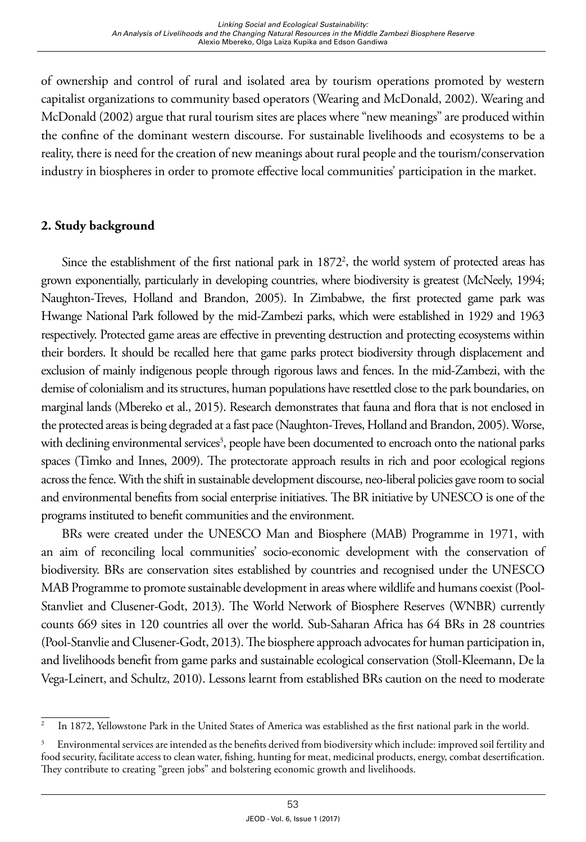of ownership and control of rural and isolated area by tourism operations promoted by western capitalist organizations to community based operators (Wearing and McDonald, 2002). Wearing and McDonald (2002) argue that rural tourism sites are places where "new meanings" are produced within the confine of the dominant western discourse. For sustainable livelihoods and ecosystems to be a reality, there is need for the creation of new meanings about rural people and the tourism/conservation industry in biospheres in order to promote effective local communities' participation in the market.

## **2. Study background**

Since the establishment of the first national park in 1872<sup>2</sup>, the world system of protected areas has grown exponentially, particularly in developing countries, where biodiversity is greatest (McNeely, 1994; Naughton-Treves, Holland and Brandon, 2005). In Zimbabwe, the first protected game park was Hwange National Park followed by the mid-Zambezi parks, which were established in 1929 and 1963 respectively. Protected game areas are effective in preventing destruction and protecting ecosystems within their borders. It should be recalled here that game parks protect biodiversity through displacement and exclusion of mainly indigenous people through rigorous laws and fences. In the mid-Zambezi, with the demise of colonialism and its structures, human populations have resettled close to the park boundaries, on marginal lands (Mbereko et al., 2015). Research demonstrates that fauna and flora that is not enclosed in the protected areas is being degraded at a fast pace (Naughton-Treves, Holland and Brandon, 2005). Worse, with declining environmental services<sup>3</sup>, people have been documented to encroach onto the national parks spaces (Timko and Innes, 2009). The protectorate approach results in rich and poor ecological regions across the fence. With the shift in sustainable development discourse, neo-liberal policies gave room to social and environmental benefits from social enterprise initiatives. The BR initiative by UNESCO is one of the programs instituted to benefit communities and the environment.

BRs were created under the UNESCO Man and Biosphere (MAB) Programme in 1971, with an aim of reconciling local communities' socio-economic development with the conservation of biodiversity. BRs are conservation sites established by countries and recognised under the UNESCO MAB Programme to promote sustainable development in areas where wildlife and humans coexist (Pool-Stanvliet and Clusener-Godt, 2013). The World Network of Biosphere Reserves (WNBR) currently counts 669 sites in 120 countries all over the world. Sub-Saharan Africa has 64 BRs in 28 countries (Pool-Stanvlie and Clusener-Godt, 2013). The biosphere approach advocates for human participation in, and livelihoods benefit from game parks and sustainable ecological conservation (Stoll-Kleemann, De la Vega-Leinert, and Schultz, 2010). Lessons learnt from established BRs caution on the need to moderate

<sup>2</sup> In 1872, Yellowstone Park in the United States of America was established as the first national park in the world.

<sup>3</sup> Environmental services are intended as the benefits derived from biodiversity which include: improved soil fertility and food security, facilitate access to clean water, fishing, hunting for meat, medicinal products, energy, combat desertification. They contribute to creating "green jobs" and bolstering economic growth and livelihoods.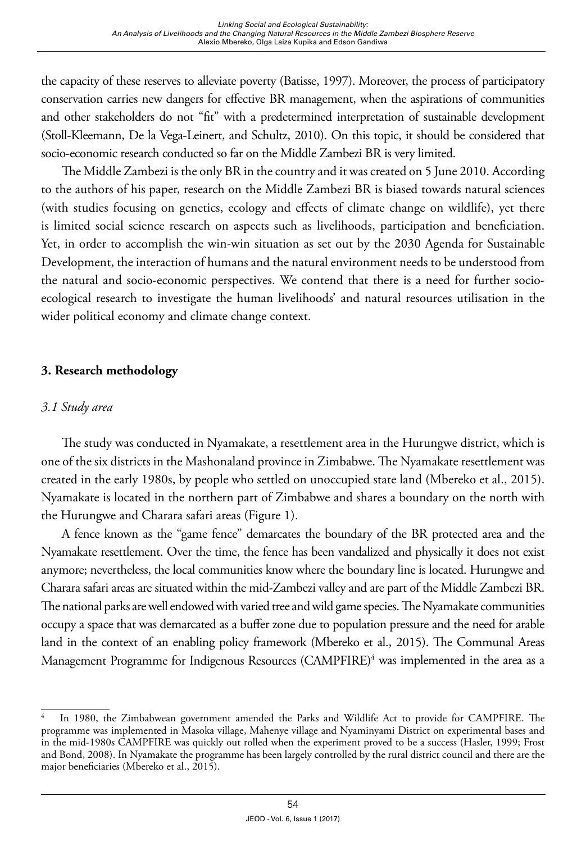the capacity of these reserves to alleviate poverty (Batisse, 1997). Moreover, the process of participatory conservation carries new dangers for effective BR management, when the aspirations of communities and other stakeholders do not "fit" with a predetermined interpretation of sustainable development (Stoll-Kleemann, De la Vega-Leinert, and Schultz, 2010). On this topic, it should be considered that socio-economic research conducted so far on the Middle Zambezi BR is very limited.

The Middle Zambezi is the only BR in the country and it was created on 5 June 2010. According to the authors of his paper, research on the Middle Zambezi BR is biased towards natural sciences (with studies focusing on genetics, ecology and effects of climate change on wildlife), yet there is limited social science research on aspects such as livelihoods, participation and beneficiation. Yet, in order to accomplish the win-win situation as set out by the 2030 Agenda for Sustainable Development, the interaction of humans and the natural environment needs to be understood from the natural and socio-economic perspectives. We contend that there is a need for further socioecological research to investigate the human livelihoods' and natural resources utilisation in the wider political economy and climate change context.

## **3. Research methodology**

## *3.1 Study area*

The study was conducted in Nyamakate, a resettlement area in the Hurungwe district, which is one of the six districts in the Mashonaland province in Zimbabwe. The Nyamakate resettlement was created in the early 1980s, by people who settled on unoccupied state land (Mbereko et al., 2015). Nyamakate is located in the northern part of Zimbabwe and shares a boundary on the north with the Hurungwe and Charara safari areas (Figure 1).

A fence known as the "game fence" demarcates the boundary of the BR protected area and the Nyamakate resettlement. Over the time, the fence has been vandalized and physically it does not exist anymore; nevertheless, the local communities know where the boundary line is located. Hurungwe and Charara safari areas are situated within the mid-Zambezi valley and are part of the Middle Zambezi BR. The national parks are well endowed with varied tree and wild game species. The Nyamakate communities occupy a space that was demarcated as a buffer zone due to population pressure and the need for arable land in the context of an enabling policy framework (Mbereko et al., 2015). The Communal Areas Management Programme for Indigenous Resources (CAMPFIRE)<sup>4</sup> was implemented in the area as a

In 1980, the Zimbabwean government amended the Parks and Wildlife Act to provide for CAMPFIRE. The programme was implemented in Masoka village, Mahenye village and Nyaminyami District on experimental bases and in the mid-1980s CAMPFIRE was quickly out rolled when the experiment proved to be a success (Hasler, 1999; Frost and Bond, 2008). In Nyamakate the programme has been largely controlled by the rural district council and there are the major beneficiaries (Mbereko et al., 2015).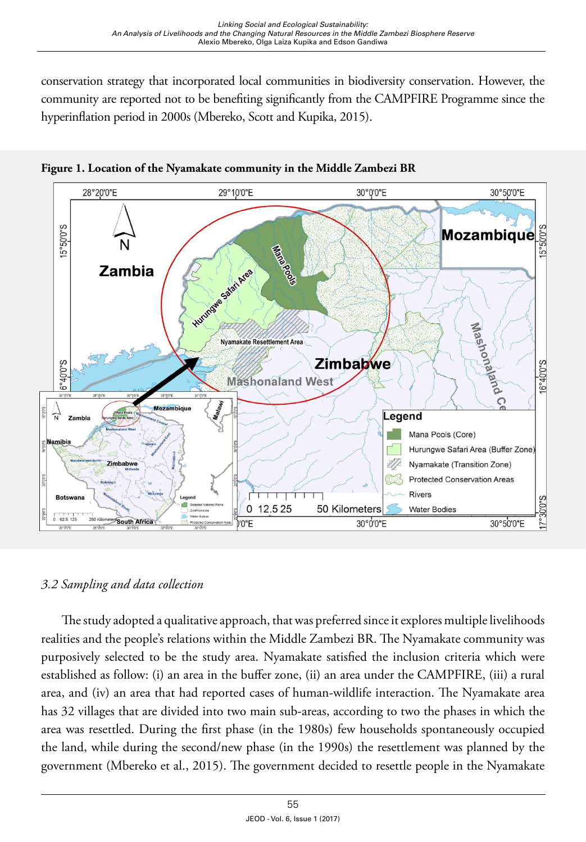conservation strategy that incorporated local communities in biodiversity conservation. However, the community are reported not to be benefiting significantly from the CAMPFIRE Programme since the hyperinflation period in 2000s (Mbereko, Scott and Kupika, 2015).



**Figure 1. Location of the Nyamakate community in the Middle Zambezi BR**

## *3.2 Sampling and data collection*

The study adopted a qualitative approach, that was preferred since it explores multiple livelihoods realities and the people's relations within the Middle Zambezi BR. The Nyamakate community was purposively selected to be the study area. Nyamakate satisfied the inclusion criteria which were established as follow: (i) an area in the buffer zone, (ii) an area under the CAMPFIRE, (iii) a rural area, and (iv) an area that had reported cases of human-wildlife interaction. The Nyamakate area has 32 villages that are divided into two main sub-areas, according to two the phases in which the area was resettled. During the first phase (in the 1980s) few households spontaneously occupied the land, while during the second/new phase (in the 1990s) the resettlement was planned by the government (Mbereko et al., 2015). The government decided to resettle people in the Nyamakate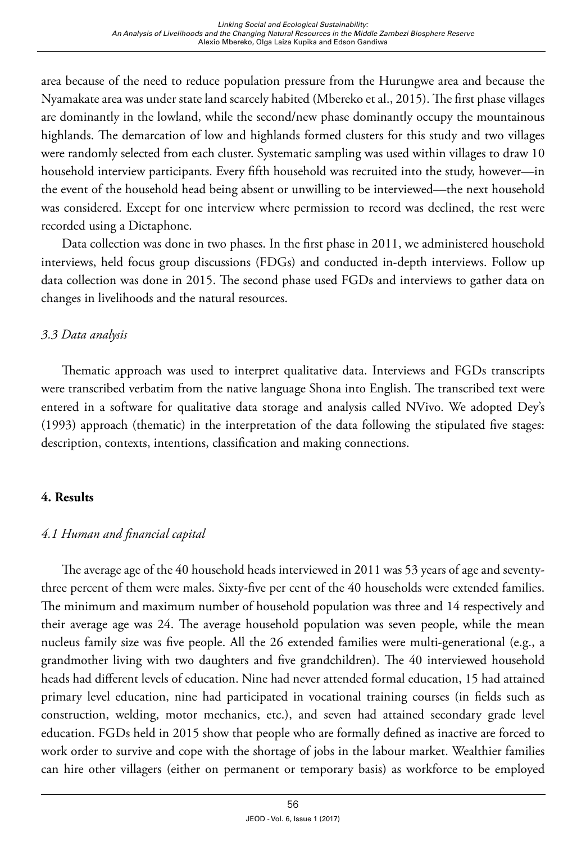area because of the need to reduce population pressure from the Hurungwe area and because the Nyamakate area was under state land scarcely habited (Mbereko et al., 2015). The first phase villages are dominantly in the lowland, while the second/new phase dominantly occupy the mountainous highlands. The demarcation of low and highlands formed clusters for this study and two villages were randomly selected from each cluster. Systematic sampling was used within villages to draw 10 household interview participants. Every fifth household was recruited into the study, however—in the event of the household head being absent or unwilling to be interviewed—the next household was considered. Except for one interview where permission to record was declined, the rest were recorded using a Dictaphone.

Data collection was done in two phases. In the first phase in 2011, we administered household interviews, held focus group discussions (FDGs) and conducted in-depth interviews. Follow up data collection was done in 2015. The second phase used FGDs and interviews to gather data on changes in livelihoods and the natural resources.

# *3.3 Data analysis*

Thematic approach was used to interpret qualitative data. Interviews and FGDs transcripts were transcribed verbatim from the native language Shona into English. The transcribed text were entered in a software for qualitative data storage and analysis called NVivo. We adopted Dey's (1993) approach (thematic) in the interpretation of the data following the stipulated five stages: description, contexts, intentions, classification and making connections.

## **4. Results**

# *4.1 Human and financial capital*

The average age of the 40 household heads interviewed in 2011 was 53 years of age and seventythree percent of them were males. Sixty-five per cent of the 40 households were extended families. The minimum and maximum number of household population was three and 14 respectively and their average age was 24. The average household population was seven people, while the mean nucleus family size was five people. All the 26 extended families were multi-generational (e.g., a grandmother living with two daughters and five grandchildren). The 40 interviewed household heads had different levels of education. Nine had never attended formal education, 15 had attained primary level education, nine had participated in vocational training courses (in fields such as construction, welding, motor mechanics, etc.), and seven had attained secondary grade level education. FGDs held in 2015 show that people who are formally defined as inactive are forced to work order to survive and cope with the shortage of jobs in the labour market. Wealthier families can hire other villagers (either on permanent or temporary basis) as workforce to be employed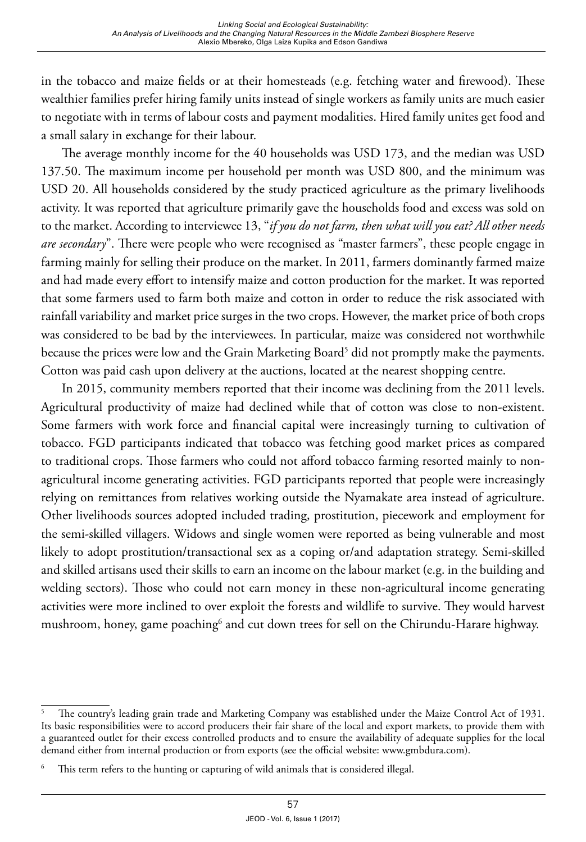in the tobacco and maize fields or at their homesteads (e.g. fetching water and firewood). These wealthier families prefer hiring family units instead of single workers as family units are much easier to negotiate with in terms of labour costs and payment modalities. Hired family unites get food and a small salary in exchange for their labour.

The average monthly income for the 40 households was USD 173, and the median was USD 137.50. The maximum income per household per month was USD 800, and the minimum was USD 20. All households considered by the study practiced agriculture as the primary livelihoods activity. It was reported that agriculture primarily gave the households food and excess was sold on to the market. According to interviewee 13, "*if you do not farm, then what will you eat? All other needs are secondary*". There were people who were recognised as "master farmers", these people engage in farming mainly for selling their produce on the market. In 2011, farmers dominantly farmed maize and had made every effort to intensify maize and cotton production for the market. It was reported that some farmers used to farm both maize and cotton in order to reduce the risk associated with rainfall variability and market price surges in the two crops. However, the market price of both crops was considered to be bad by the interviewees. In particular, maize was considered not worthwhile because the prices were low and the Grain Marketing Board<sup>5</sup> did not promptly make the payments. Cotton was paid cash upon delivery at the auctions, located at the nearest shopping centre.

In 2015, community members reported that their income was declining from the 2011 levels. Agricultural productivity of maize had declined while that of cotton was close to non-existent. Some farmers with work force and financial capital were increasingly turning to cultivation of tobacco. FGD participants indicated that tobacco was fetching good market prices as compared to traditional crops. Those farmers who could not afford tobacco farming resorted mainly to nonagricultural income generating activities. FGD participants reported that people were increasingly relying on remittances from relatives working outside the Nyamakate area instead of agriculture. Other livelihoods sources adopted included trading, prostitution, piecework and employment for the semi-skilled villagers. Widows and single women were reported as being vulnerable and most likely to adopt prostitution/transactional sex as a coping or/and adaptation strategy. Semi-skilled and skilled artisans used their skills to earn an income on the labour market (e.g. in the building and welding sectors). Those who could not earn money in these non-agricultural income generating activities were more inclined to over exploit the forests and wildlife to survive. They would harvest mushroom, honey, game poaching<sup>6</sup> and cut down trees for sell on the Chirundu-Harare highway.

<sup>5</sup> The country's leading grain trade and Marketing Company was established under the Maize Control Act of 1931. Its basic responsibilities were to accord producers their fair share of the local and export markets, to provide them with a guaranteed outlet for their excess controlled products and to ensure the availability of adequate supplies for the local demand either from internal production or from exports (see the official website: [www.gmbdura.com](http://www.gmbdura.com)).

This term refers to the hunting or capturing of wild animals that is considered illegal.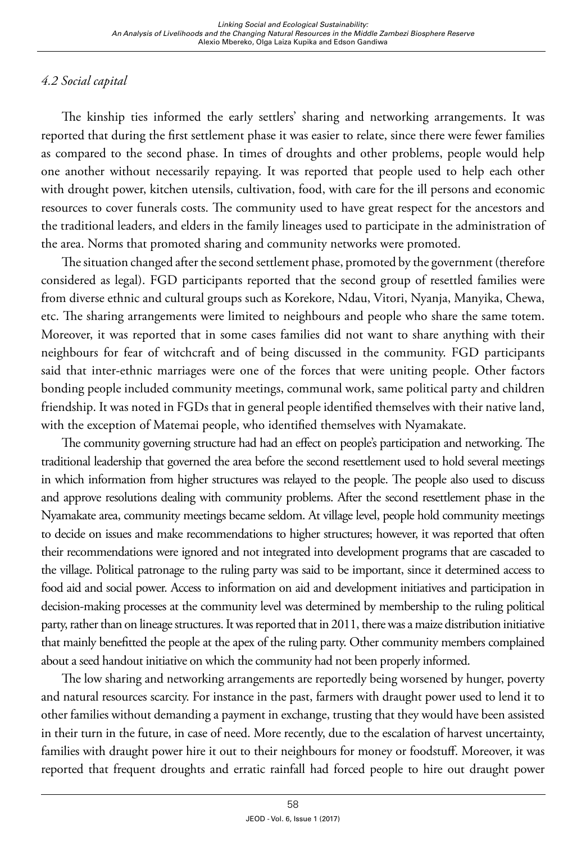# *4.2 Social capital*

The kinship ties informed the early settlers' sharing and networking arrangements. It was reported that during the first settlement phase it was easier to relate, since there were fewer families as compared to the second phase. In times of droughts and other problems, people would help one another without necessarily repaying. It was reported that people used to help each other with drought power, kitchen utensils, cultivation, food, with care for the ill persons and economic resources to cover funerals costs. The community used to have great respect for the ancestors and the traditional leaders, and elders in the family lineages used to participate in the administration of the area. Norms that promoted sharing and community networks were promoted.

The situation changed after the second settlement phase, promoted by the government (therefore considered as legal). FGD participants reported that the second group of resettled families were from diverse ethnic and cultural groups such as Korekore, Ndau, Vitori, Nyanja, Manyika, Chewa, etc. The sharing arrangements were limited to neighbours and people who share the same totem. Moreover, it was reported that in some cases families did not want to share anything with their neighbours for fear of witchcraft and of being discussed in the community. FGD participants said that inter-ethnic marriages were one of the forces that were uniting people. Other factors bonding people included community meetings, communal work, same political party and children friendship. It was noted in FGDs that in general people identified themselves with their native land, with the exception of Matemai people, who identified themselves with Nyamakate.

The community governing structure had had an effect on people's participation and networking. The traditional leadership that governed the area before the second resettlement used to hold several meetings in which information from higher structures was relayed to the people. The people also used to discuss and approve resolutions dealing with community problems. After the second resettlement phase in the Nyamakate area, community meetings became seldom. At village level, people hold community meetings to decide on issues and make recommendations to higher structures; however, it was reported that often their recommendations were ignored and not integrated into development programs that are cascaded to the village. Political patronage to the ruling party was said to be important, since it determined access to food aid and social power. Access to information on aid and development initiatives and participation in decision-making processes at the community level was determined by membership to the ruling political party, rather than on lineage structures. It was reported that in 2011, there was a maize distribution initiative that mainly benefitted the people at the apex of the ruling party. Other community members complained about a seed handout initiative on which the community had not been properly informed.

The low sharing and networking arrangements are reportedly being worsened by hunger, poverty and natural resources scarcity. For instance in the past, farmers with draught power used to lend it to other families without demanding a payment in exchange, trusting that they would have been assisted in their turn in the future, in case of need. More recently, due to the escalation of harvest uncertainty, families with draught power hire it out to their neighbours for money or foodstuff. Moreover, it was reported that frequent droughts and erratic rainfall had forced people to hire out draught power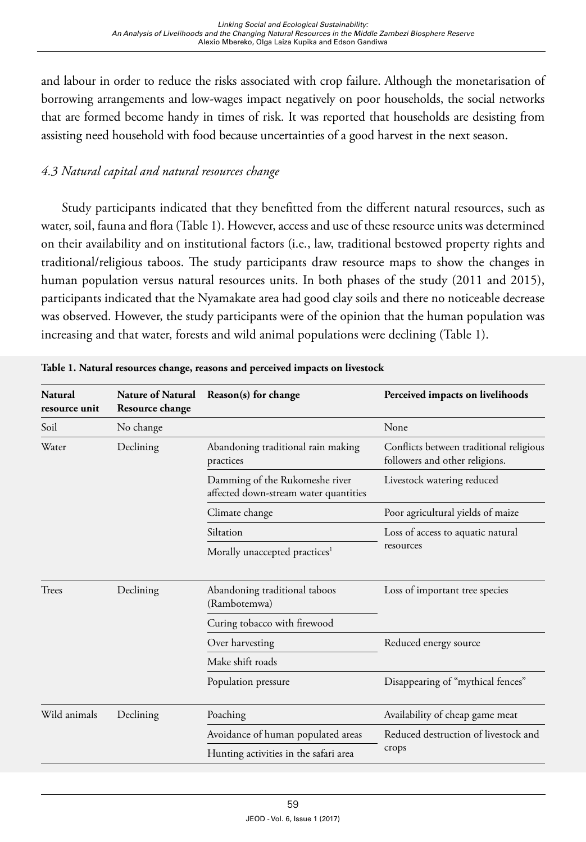and labour in order to reduce the risks associated with crop failure. Although the monetarisation of borrowing arrangements and low-wages impact negatively on poor households, the social networks that are formed become handy in times of risk. It was reported that households are desisting from assisting need household with food because uncertainties of a good harvest in the next season.

# *4.3 Natural capital and natural resources change*

Study participants indicated that they benefitted from the different natural resources, such as water, soil, fauna and flora (Table 1). However, access and use of these resource units was determined on their availability and on institutional factors (i.e., law, traditional bestowed property rights and traditional/religious taboos. The study participants draw resource maps to show the changes in human population versus natural resources units. In both phases of the study (2011 and 2015), participants indicated that the Nyamakate area had good clay soils and there no noticeable decrease was observed. However, the study participants were of the opinion that the human population was increasing and that water, forests and wild animal populations were declining (Table 1).

| <b>Natural</b><br>resource unit | <b>Nature of Natural</b><br>Resource change | Reason(s) for change                                                    | Perceived impacts on livelihoods                                          |
|---------------------------------|---------------------------------------------|-------------------------------------------------------------------------|---------------------------------------------------------------------------|
| Soil                            | No change                                   |                                                                         | None                                                                      |
| Water                           | Declining                                   | Abandoning traditional rain making<br>practices                         | Conflicts between traditional religious<br>followers and other religions. |
|                                 |                                             | Damming of the Rukomeshe river<br>affected down-stream water quantities | Livestock watering reduced                                                |
|                                 |                                             | Climate change                                                          | Poor agricultural yields of maize                                         |
|                                 |                                             | Siltation                                                               | Loss of access to aquatic natural<br>resources                            |
|                                 |                                             | Morally unaccepted practices <sup>1</sup>                               |                                                                           |
| Trees                           | Declining                                   | Abandoning traditional taboos<br>(Rambotemwa)                           | Loss of important tree species                                            |
|                                 |                                             | Curing tobacco with firewood                                            |                                                                           |
|                                 |                                             | Over harvesting                                                         | Reduced energy source                                                     |
|                                 |                                             | Make shift roads                                                        |                                                                           |
|                                 |                                             | Population pressure                                                     | Disappearing of "mythical fences"                                         |
| Wild animals                    | Declining                                   | Poaching                                                                | Availability of cheap game meat                                           |
|                                 |                                             | Avoidance of human populated areas                                      | Reduced destruction of livestock and<br>crops                             |
|                                 |                                             | Hunting activities in the safari area                                   |                                                                           |

**Table 1. Natural resources change, reasons and perceived impacts on livestock**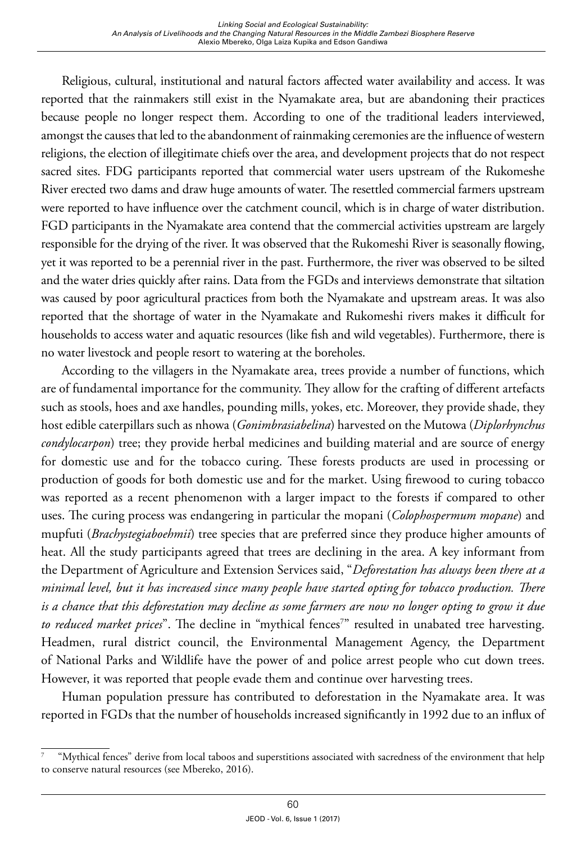Religious, cultural, institutional and natural factors affected water availability and access. It was reported that the rainmakers still exist in the Nyamakate area, but are abandoning their practices because people no longer respect them. According to one of the traditional leaders interviewed, amongst the causes that led to the abandonment of rainmaking ceremonies are the influence of western religions, the election of illegitimate chiefs over the area, and development projects that do not respect sacred sites. FDG participants reported that commercial water users upstream of the Rukomeshe River erected two dams and draw huge amounts of water. The resettled commercial farmers upstream were reported to have influence over the catchment council, which is in charge of water distribution. FGD participants in the Nyamakate area contend that the commercial activities upstream are largely responsible for the drying of the river. It was observed that the Rukomeshi River is seasonally flowing, yet it was reported to be a perennial river in the past. Furthermore, the river was observed to be silted and the water dries quickly after rains. Data from the FGDs and interviews demonstrate that siltation was caused by poor agricultural practices from both the Nyamakate and upstream areas. It was also reported that the shortage of water in the Nyamakate and Rukomeshi rivers makes it difficult for households to access water and aquatic resources (like fish and wild vegetables). Furthermore, there is no water livestock and people resort to watering at the boreholes.

According to the villagers in the Nyamakate area, trees provide a number of functions, which are of fundamental importance for the community. They allow for the crafting of different artefacts such as stools, hoes and axe handles, pounding mills, yokes, etc. Moreover, they provide shade, they host edible caterpillars such as nhowa (*Gonimbrasiabelina*) harvested on the Mutowa (*Diplorhynchus condylocarpon*) tree; they provide herbal medicines and building material and are source of energy for domestic use and for the tobacco curing. These forests products are used in processing or production of goods for both domestic use and for the market. Using firewood to curing tobacco was reported as a recent phenomenon with a larger impact to the forests if compared to other uses. The curing process was endangering in particular the mopani (*Colophospermum mopane*) and mupfuti (*Brachystegiaboehmii*) tree species that are preferred since they produce higher amounts of heat. All the study participants agreed that trees are declining in the area. A key informant from the Department of Agriculture and Extension Services said, "*Deforestation has always been there at a minimal level, but it has increased since many people have started opting for tobacco production. There is a chance that this deforestation may decline as some farmers are now no longer opting to grow it due*  to reduced market prices". The decline in "mythical fences<sup>7</sup>" resulted in unabated tree harvesting. Headmen, rural district council, the Environmental Management Agency, the Department of National Parks and Wildlife have the power of and police arrest people who cut down trees. However, it was reported that people evade them and continue over harvesting trees.

Human population pressure has contributed to deforestation in the Nyamakate area. It was reported in FGDs that the number of households increased significantly in 1992 due to an influx of

<sup>7 &</sup>quot;Mythical fences" derive from local taboos and superstitions associated with sacredness of the environment that help to conserve natural resources (see Mbereko, 2016).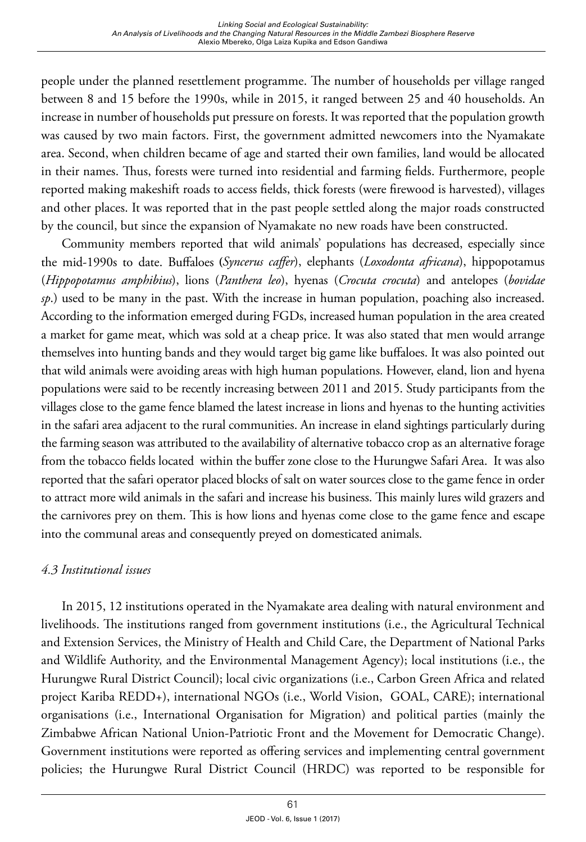people under the planned resettlement programme. The number of households per village ranged between 8 and 15 before the 1990s, while in 2015, it ranged between 25 and 40 households. An increase in number of households put pressure on forests. It was reported that the population growth was caused by two main factors. First, the government admitted newcomers into the Nyamakate area. Second, when children became of age and started their own families, land would be allocated in their names. Thus, forests were turned into residential and farming fields. Furthermore, people reported making makeshift roads to access fields, thick forests (were firewood is harvested), villages and other places. It was reported that in the past people settled along the major roads constructed by the council, but since the expansion of Nyamakate no new roads have been constructed.

Community members reported that wild animals' populations has decreased, especially since the mid-1990s to date. Buffaloes **(***Syncerus caffer*), elephants (*Loxodonta africana*), hippopotamus (*Hippopotamus amphibius*), lions (*Panthera leo*), hyenas (*Crocuta crocuta*) and antelopes (*bovidae sp*.) used to be many in the past. With the increase in human population, poaching also increased. According to the information emerged during FGDs, increased human population in the area created a market for game meat, which was sold at a cheap price. It was also stated that men would arrange themselves into hunting bands and they would target big game like buffaloes. It was also pointed out that wild animals were avoiding areas with high human populations. However, eland, lion and hyena populations were said to be recently increasing between 2011 and 2015. Study participants from the villages close to the game fence blamed the latest increase in lions and hyenas to the hunting activities in the safari area adjacent to the rural communities. An increase in eland sightings particularly during the farming season was attributed to the availability of alternative tobacco crop as an alternative forage from the tobacco fields located within the buffer zone close to the Hurungwe Safari Area. It was also reported that the safari operator placed blocks of salt on water sources close to the game fence in order to attract more wild animals in the safari and increase his business. This mainly lures wild grazers and the carnivores prey on them. This is how lions and hyenas come close to the game fence and escape into the communal areas and consequently preyed on domesticated animals.

## *4.3 Institutional issues*

In 2015, 12 institutions operated in the Nyamakate area dealing with natural environment and livelihoods. The institutions ranged from government institutions (i.e., the Agricultural Technical and Extension Services, the Ministry of Health and Child Care, the Department of National Parks and Wildlife Authority, and the Environmental Management Agency); local institutions (i.e., the Hurungwe Rural District Council); local civic organizations (i.e., Carbon Green Africa and related project Kariba REDD+), international NGOs (i.e., World Vision, GOAL, CARE); international organisations (i.e., International Organisation for Migration) and political parties (mainly the Zimbabwe African National Union-Patriotic Front and the Movement for Democratic Change). Government institutions were reported as offering services and implementing central government policies; the Hurungwe Rural District Council (HRDC) was reported to be responsible for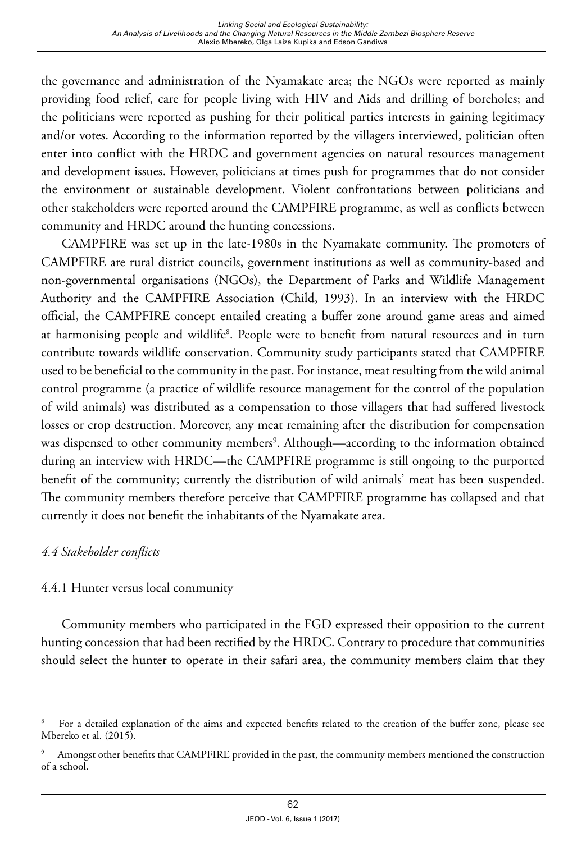the governance and administration of the Nyamakate area; the NGOs were reported as mainly providing food relief, care for people living with HIV and Aids and drilling of boreholes; and the politicians were reported as pushing for their political parties interests in gaining legitimacy and/or votes. According to the information reported by the villagers interviewed, politician often enter into conflict with the HRDC and government agencies on natural resources management and development issues. However, politicians at times push for programmes that do not consider the environment or sustainable development. Violent confrontations between politicians and other stakeholders were reported around the CAMPFIRE programme, as well as conflicts between community and HRDC around the hunting concessions.

CAMPFIRE was set up in the late-1980s in the Nyamakate community. The promoters of CAMPFIRE are rural district councils, government institutions as well as community-based and non-governmental organisations (NGOs), the Department of Parks and Wildlife Management Authority and the CAMPFIRE Association (Child, 1993). In an interview with the HRDC official, the CAMPFIRE concept entailed creating a buffer zone around game areas and aimed at harmonising people and wildlife<sup>8</sup>. People were to benefit from natural resources and in turn contribute towards wildlife conservation. Community study participants stated that CAMPFIRE used to be beneficial to the community in the past. For instance, meat resulting from the wild animal control programme (a practice of wildlife resource management for the control of the population of wild animals) was distributed as a compensation to those villagers that had suffered livestock losses or crop destruction. Moreover, any meat remaining after the distribution for compensation was dispensed to other community members<sup>9</sup>. Although—according to the information obtained during an interview with HRDC—the CAMPFIRE programme is still ongoing to the purported benefit of the community; currently the distribution of wild animals' meat has been suspended. The community members therefore perceive that CAMPFIRE programme has collapsed and that currently it does not benefit the inhabitants of the Nyamakate area.

## *4.4 Stakeholder conflicts*

## 4.4.1 Hunter versus local community

Community members who participated in the FGD expressed their opposition to the current hunting concession that had been rectified by the HRDC. Contrary to procedure that communities should select the hunter to operate in their safari area, the community members claim that they

For a detailed explanation of the aims and expected benefits related to the creation of the buffer zone, please see Mbereko et al. (2015).

Amongst other benefits that CAMPFIRE provided in the past, the community members mentioned the construction of a school.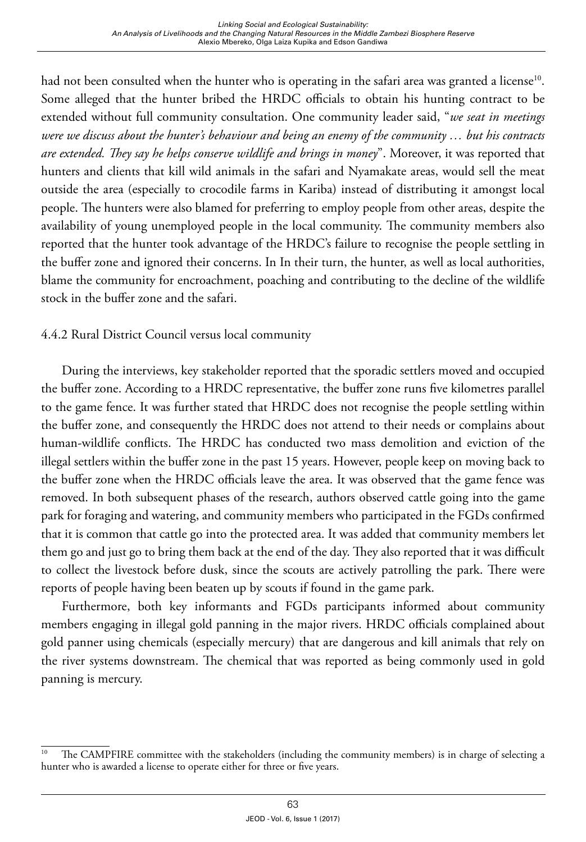had not been consulted when the hunter who is operating in the safari area was granted a license<sup>10</sup>. Some alleged that the hunter bribed the HRDC officials to obtain his hunting contract to be extended without full community consultation. One community leader said, "*we seat in meetings were we discuss about the hunter's behaviour and being an enemy of the community … but his contracts are extended. They say he helps conserve wildlife and brings in money*". Moreover, it was reported that hunters and clients that kill wild animals in the safari and Nyamakate areas, would sell the meat outside the area (especially to crocodile farms in Kariba) instead of distributing it amongst local people. The hunters were also blamed for preferring to employ people from other areas, despite the availability of young unemployed people in the local community. The community members also reported that the hunter took advantage of the HRDC's failure to recognise the people settling in the buffer zone and ignored their concerns. In In their turn, the hunter, as well as local authorities, blame the community for encroachment, poaching and contributing to the decline of the wildlife stock in the buffer zone and the safari.

# 4.4.2 Rural District Council versus local community

During the interviews, key stakeholder reported that the sporadic settlers moved and occupied the buffer zone. According to a HRDC representative, the buffer zone runs five kilometres parallel to the game fence. It was further stated that HRDC does not recognise the people settling within the buffer zone, and consequently the HRDC does not attend to their needs or complains about human-wildlife conflicts. The HRDC has conducted two mass demolition and eviction of the illegal settlers within the buffer zone in the past 15 years. However, people keep on moving back to the buffer zone when the HRDC officials leave the area. It was observed that the game fence was removed. In both subsequent phases of the research, authors observed cattle going into the game park for foraging and watering, and community members who participated in the FGDs confirmed that it is common that cattle go into the protected area. It was added that community members let them go and just go to bring them back at the end of the day. They also reported that it was difficult to collect the livestock before dusk, since the scouts are actively patrolling the park. There were reports of people having been beaten up by scouts if found in the game park.

Furthermore, both key informants and FGDs participants informed about community members engaging in illegal gold panning in the major rivers. HRDC officials complained about gold panner using chemicals (especially mercury) that are dangerous and kill animals that rely on the river systems downstream. The chemical that was reported as being commonly used in gold panning is mercury.

<sup>&</sup>lt;sup>10</sup> The CAMPFIRE committee with the stakeholders (including the community members) is in charge of selecting a hunter who is awarded a license to operate either for three or five years.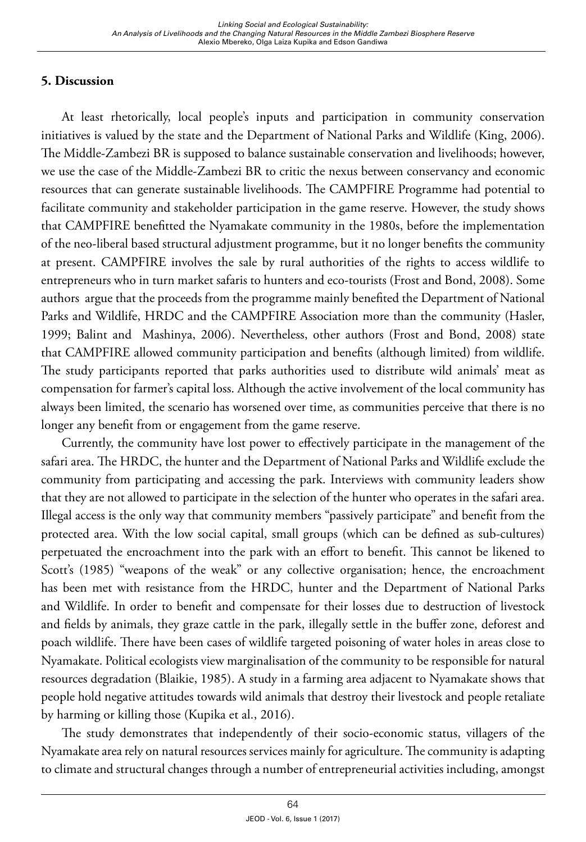# **5. Discussion**

At least rhetorically, local people's inputs and participation in community conservation initiatives is valued by the state and the Department of National Parks and Wildlife (King, 2006). The Middle-Zambezi BR is supposed to balance sustainable conservation and livelihoods; however, we use the case of the Middle-Zambezi BR to critic the nexus between conservancy and economic resources that can generate sustainable livelihoods. The CAMPFIRE Programme had potential to facilitate community and stakeholder participation in the game reserve. However, the study shows that CAMPFIRE benefitted the Nyamakate community in the 1980s, before the implementation of the neo-liberal based structural adjustment programme, but it no longer benefits the community at present. CAMPFIRE involves the sale by rural authorities of the rights to access wildlife to entrepreneurs who in turn market safaris to hunters and eco-tourists (Frost and Bond, 2008). Some authors argue that the proceeds from the programme mainly benefited the Department of National Parks and Wildlife, HRDC and the CAMPFIRE Association more than the community (Hasler, 1999; Balint and Mashinya, 2006). Nevertheless, other authors (Frost and Bond, 2008) state that CAMPFIRE allowed community participation and benefits (although limited) from wildlife. The study participants reported that parks authorities used to distribute wild animals' meat as compensation for farmer's capital loss. Although the active involvement of the local community has always been limited, the scenario has worsened over time, as communities perceive that there is no longer any benefit from or engagement from the game reserve.

Currently, the community have lost power to effectively participate in the management of the safari area. The HRDC, the hunter and the Department of National Parks and Wildlife exclude the community from participating and accessing the park. Interviews with community leaders show that they are not allowed to participate in the selection of the hunter who operates in the safari area. Illegal access is the only way that community members "passively participate" and benefit from the protected area. With the low social capital, small groups (which can be defined as sub-cultures) perpetuated the encroachment into the park with an effort to benefit. This cannot be likened to Scott's (1985) "weapons of the weak" or any collective organisation; hence, the encroachment has been met with resistance from the HRDC, hunter and the Department of National Parks and Wildlife. In order to benefit and compensate for their losses due to destruction of livestock and fields by animals, they graze cattle in the park, illegally settle in the buffer zone, deforest and poach wildlife. There have been cases of wildlife targeted poisoning of water holes in areas close to Nyamakate. Political ecologists view marginalisation of the community to be responsible for natural resources degradation (Blaikie, 1985). A study in a farming area adjacent to Nyamakate shows that people hold negative attitudes towards wild animals that destroy their livestock and people retaliate by harming or killing those (Kupika et al., 2016).

The study demonstrates that independently of their socio-economic status, villagers of the Nyamakate area rely on natural resources services mainly for agriculture. The community is adapting to climate and structural changes through a number of entrepreneurial activities including, amongst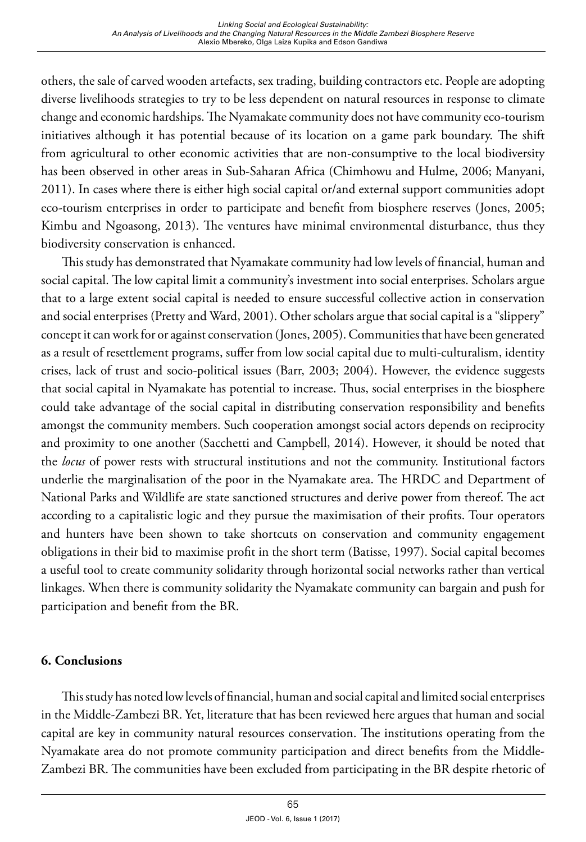others, the sale of carved wooden artefacts, sex trading, building contractors etc. People are adopting diverse livelihoods strategies to try to be less dependent on natural resources in response to climate change and economic hardships. The Nyamakate community does not have community eco-tourism initiatives although it has potential because of its location on a game park boundary. The shift from agricultural to other economic activities that are non-consumptive to the local biodiversity has been observed in other areas in Sub-Saharan Africa (Chimhowu and Hulme, 2006; Manyani, 2011). In cases where there is either high social capital or/and external support communities adopt eco-tourism enterprises in order to participate and benefit from biosphere reserves (Jones, 2005; Kimbu and Ngoasong, 2013). The ventures have minimal environmental disturbance, thus they biodiversity conservation is enhanced.

This study has demonstrated that Nyamakate community had low levels of financial, human and social capital. The low capital limit a community's investment into social enterprises. Scholars argue that to a large extent social capital is needed to ensure successful collective action in conservation and social enterprises (Pretty and Ward, 2001). Other scholars argue that social capital is a "slippery" concept it can work for or against conservation (Jones, 2005). Communities that have been generated as a result of resettlement programs, suffer from low social capital due to multi-culturalism, identity crises, lack of trust and socio-political issues (Barr, 2003; 2004). However, the evidence suggests that social capital in Nyamakate has potential to increase. Thus, social enterprises in the biosphere could take advantage of the social capital in distributing conservation responsibility and benefits amongst the community members. Such cooperation amongst social actors depends on reciprocity and proximity to one another (Sacchetti and Campbell, 2014). However, it should be noted that the *locus* of power rests with structural institutions and not the community. Institutional factors underlie the marginalisation of the poor in the Nyamakate area. The HRDC and Department of National Parks and Wildlife are state sanctioned structures and derive power from thereof. The act according to a capitalistic logic and they pursue the maximisation of their profits. Tour operators and hunters have been shown to take shortcuts on conservation and community engagement obligations in their bid to maximise profit in the short term (Batisse, 1997). Social capital becomes a useful tool to create community solidarity through horizontal social networks rather than vertical linkages. When there is community solidarity the Nyamakate community can bargain and push for participation and benefit from the BR.

#### **6. Conclusions**

This study has noted low levels of financial, human and social capital and limited social enterprises in the Middle-Zambezi BR. Yet, literature that has been reviewed here argues that human and social capital are key in community natural resources conservation. The institutions operating from the Nyamakate area do not promote community participation and direct benefits from the Middle-Zambezi BR. The communities have been excluded from participating in the BR despite rhetoric of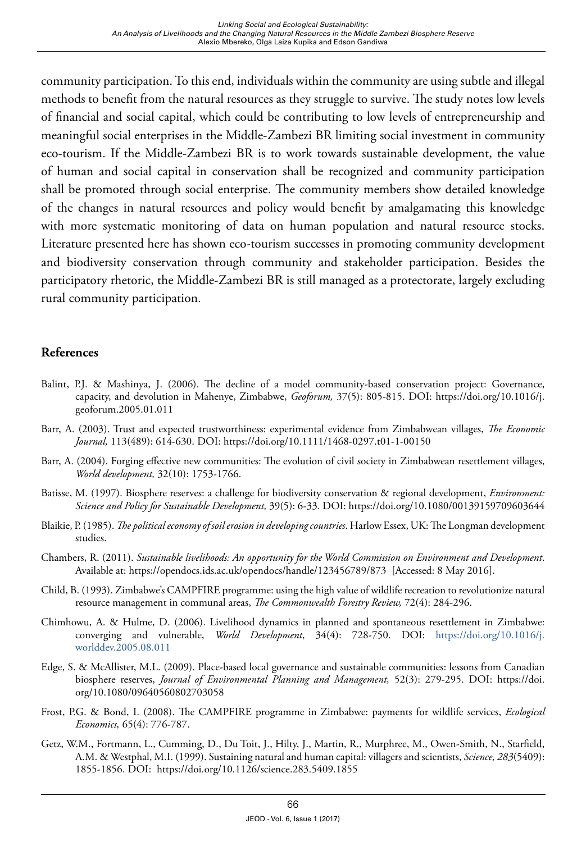community participation. To this end, individuals within the community are using subtle and illegal methods to benefit from the natural resources as they struggle to survive. The study notes low levels of financial and social capital, which could be contributing to low levels of entrepreneurship and meaningful social enterprises in the Middle-Zambezi BR limiting social investment in community eco-tourism. If the Middle-Zambezi BR is to work towards sustainable development, the value of human and social capital in conservation shall be recognized and community participation shall be promoted through social enterprise. The community members show detailed knowledge of the changes in natural resources and policy would benefit by amalgamating this knowledge with more systematic monitoring of data on human population and natural resource stocks. Literature presented here has shown eco-tourism successes in promoting community development and biodiversity conservation through community and stakeholder participation. Besides the participatory rhetoric, the Middle-Zambezi BR is still managed as a protectorate, largely excluding rural community participation.

## **References**

- Balint, P.J. & Mashinya, J. (2006). The decline of a model community-based conservation project: Governance, capacity, and devolution in Mahenye, Zimbabwe, *Geoforum,* 37(5): 805-815. DOI: https://doi.org/10.1016/j. geoforum.2005.01.011
- Barr, A. (2003). Trust and expected trustworthiness: experimental evidence from Zimbabwean villages, *The Economic Journal,* 113(489): 614-630. DOI: https://doi.org/10.1111/1468-0297.t01-1-00150
- Barr, A. (2004). Forging effective new communities: The evolution of civil society in Zimbabwean resettlement villages, *World development,* 32(10): 1753-1766.
- Batisse, M. (1997). Biosphere reserves: a challenge for biodiversity conservation & regional development, *Environment: Science and Policy for Sustainable Development,* 39(5): 6-33. DOI: https://doi.org/10.1080/00139159709603644
- Blaikie, P. (1985). *The political economy of soil erosion in developing countries*. Harlow Essex, UK: The Longman development studies.
- Chambers, R. (2011). *Sustainable livelihoods: An opportunity for the World Commission on Environment and Development*. Available at: https://opendocs.ids.ac.uk/opendocs/handle/123456789/873 [Accessed: 8 May 2016].
- Child, B. (1993). Zimbabwe's CAMPFIRE programme: using the high value of wildlife recreation to revolutionize natural resource management in communal areas, *The Commonwealth Forestry Review,* 72(4): 284-296.
- Chimhowu, A. & Hulme, D. (2006). Livelihood dynamics in planned and spontaneous resettlement in Zimbabwe: converging and vulnerable, *World Development*, 34(4): 728-750. DOI: [https://doi.org/10.1016/j.](https://doi.org/10.1016/j.worlddev.2005.08.011) [worlddev.2005.08.011](https://doi.org/10.1016/j.worlddev.2005.08.011)
- Edge, S. & McAllister, M.L. (2009). Place-based local governance and sustainable communities: lessons from Canadian biosphere reserves, *Journal of Environmental Planning and Management,* 52(3): 279-295. DOI: [https://doi.](https://doi.org/10.1080/09640560802703058) [org/10.1080/09640560802703058](https://doi.org/10.1080/09640560802703058)
- Frost, P.G. & Bond, I. (2008). The CAMPFIRE programme in Zimbabwe: payments for wildlife services, *Ecological Economics,* 65(4): 776-787.
- Getz, W.M., Fortmann, L., Cumming, D., Du Toit, J., Hilty, J., Martin, R., Murphree, M., Owen-Smith, N., Starfield, A.M. & Westphal, M.I. (1999). Sustaining natural and human capital: villagers and scientists, *Science, 283*(5409): 1855-1856. DOI: https://doi.org/10.1126/science.283.5409.1855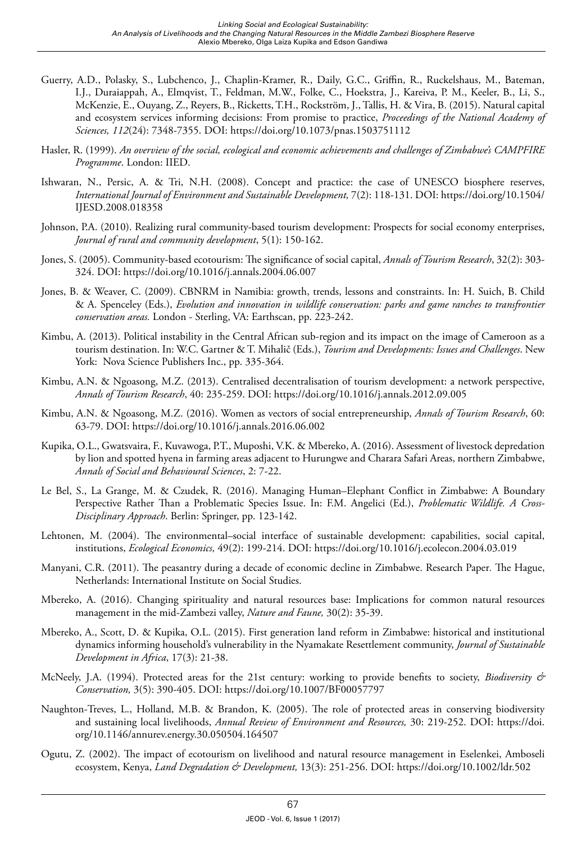- Guerry, A.D., Polasky, S., Lubchenco, J., Chaplin-Kramer, R., Daily, G.C., Griffin, R., Ruckelshaus, M., Bateman, I.J., Duraiappah, A., Elmqvist, T., Feldman, M.W., Folke, C., Hoekstra, J., Kareiva, P. M., Keeler, B., Li, S., McKenzie, E., Ouyang, Z., Reyers, B., Ricketts, T.H., Rockström, J., Tallis, H. & Vira, B. (2015). Natural capital and ecosystem services informing decisions: From promise to practice, *Proceedings of the National Academy of Sciences, 112*(24): 7348-7355. DOI: https://doi.org/10.1073/pnas.1503751112
- Hasler, R. (1999). *An overview of the social, ecological and economic achievements and challenges of Zimbabwe's CAMPFIRE Programme*. London: IIED.
- Ishwaran, N., Persic, A. & Tri, N.H. (2008). Concept and practice: the case of UNESCO biosphere reserves, *International Journal of Environment and Sustainable Development,* 7(2): 118-131. DOI: [https://doi.org/10.1504/](https://doi.org/10.1504/IJESD.2008.018358) [IJESD.2008.018358](https://doi.org/10.1504/IJESD.2008.018358)
- Johnson, P.A. (2010). Realizing rural community-based tourism development: Prospects for social economy enterprises, *Journal of rural and community development*, 5(1): 150-162.
- Jones, S. (2005). Community-based ecotourism: The significance of social capital, *Annals of Tourism Research*, 32(2): 303- 324. DOI: https://doi.org/10.1016/j.annals.2004.06.007
- Jones, B. & Weaver, C. (2009). CBNRM in Namibia: growth, trends, lessons and constraints. In: H. Suich, B. Child & A. Spenceley (Eds.), *Evolution and innovation in wildlife conservation: parks and game ranches to transfrontier conservation areas.* London - Sterling, VA: Earthscan, pp. 223-242.
- Kimbu, A. (2013). Political instability in the Central African sub-region and its impact on the image of Cameroon as a tourism destination. In: W.C. Gartner & T. Mihalič (Eds.), *Tourism and Developments: Issues and Challenges*. New York: Nova Science Publishers Inc., pp. 335-364.
- Kimbu, A.N. & Ngoasong, M.Z. (2013). Centralised decentralisation of tourism development: a network perspective, *Annals of Tourism Research*, 40: 235-259. DOI: <https://doi.org/10.1016/j.annals.2012.09.005>
- Kimbu, A.N. & Ngoasong, M.Z. (2016). Women as vectors of social entrepreneurship, *Annals of Tourism Research*, 60: 63-79. DOI: https://doi.org/10.1016/j.annals.2016.06.002
- Kupika, O.L., Gwatsvaira, F., Kuvawoga, P.T., Muposhi, V.K. & Mbereko, A. (2016). Assessment of livestock depredation by lion and spotted hyena in farming areas adjacent to Hurungwe and Charara Safari Areas, northern Zimbabwe, *Annals of Social and Behavioural Sciences*, 2: 7-22.
- Le Bel, S., La Grange, M. & Czudek, R. (2016). Managing Human–Elephant Conflict in Zimbabwe: A Boundary Perspective Rather Than a Problematic Species Issue. In: F.M. Angelici (Ed.), *Problematic Wildlife. A Cross-Disciplinary Approach*. Berlin: Springer, pp. 123-142.
- Lehtonen, M. (2004). The environmental–social interface of sustainable development: capabilities, social capital, institutions, *Ecological Economics,* 49(2): 199-214. DOI: https://doi.org/10.1016/j.ecolecon.2004.03.019
- Manyani, C.R. (2011). The peasantry during a decade of economic decline in Zimbabwe. Research Paper*.* The Hague, Netherlands: International Institute on Social Studies.
- Mbereko, A. (2016). Changing spirituality and natural resources base: Implications for common natural resources management in the mid-Zambezi valley, *Nature and Faune,* 30(2): 35-39.
- Mbereko, A., Scott, D. & Kupika, O.L. (2015). First generation land reform in Zimbabwe: historical and institutional dynamics informing household's vulnerability in the Nyamakate Resettlement community, *Journal of Sustainable Development in Africa*, 17(3): 21-38.
- McNeely, J.A. (1994). Protected areas for the 21st century: working to provide benefits to society, *Biodiversity & Conservation,* 3(5): 390-405. DOI: <https://doi.org/10.1007/BF00057797>
- Naughton-Treves, L., Holland, M.B. & Brandon, K. (2005). The role of protected areas in conserving biodiversity and sustaining local livelihoods, *Annual Review of Environment and Resources,* 30: 219-252. DOI: [https://doi.](https://doi.org/10.1146/annurev.energy.30.050504.164507) [org/10.1146/annurev.energy.30.050504.164507](https://doi.org/10.1146/annurev.energy.30.050504.164507)
- Ogutu, Z. (2002). The impact of ecotourism on livelihood and natural resource management in Eselenkei, Amboseli ecosystem, Kenya, *Land Degradation & Development,* 13(3): 251-256. DOI: https://doi.org/10.1002/ldr.502